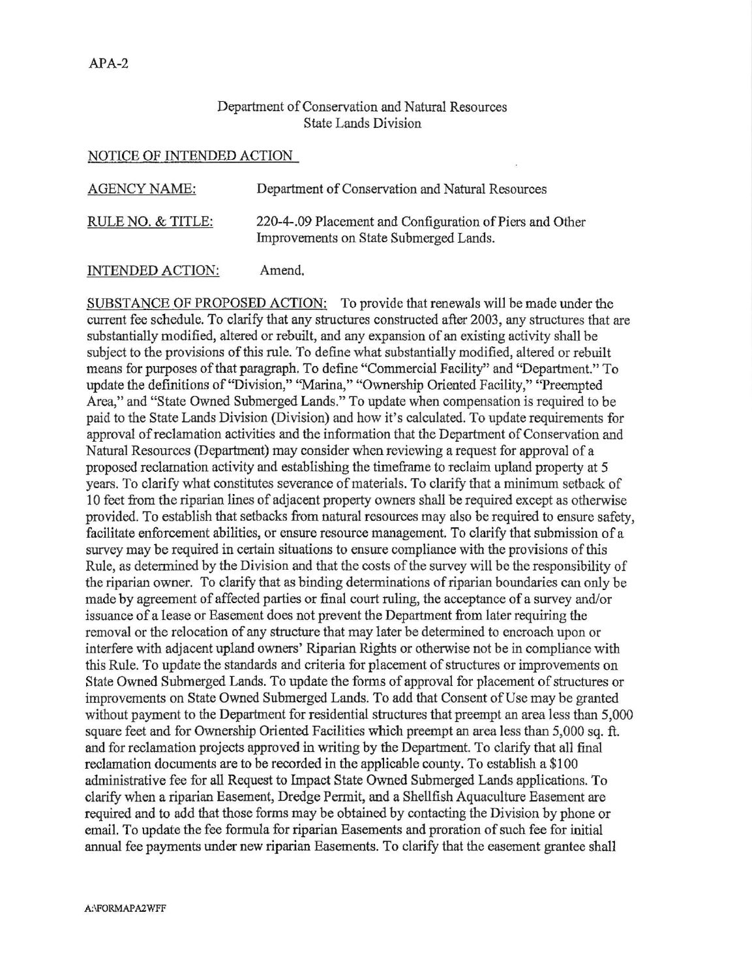## Department of Conservation and Natural Resources State Lands Division

## <u>NOTICE OF INTENDED ACTION</u>

| <b>AGENCY NAME:</b> | Department of Conservation and Natural Resources                                                   |
|---------------------|----------------------------------------------------------------------------------------------------|
| RULE NO. & TITLE:   | 220-4-.09 Placement and Configuration of Piers and Other<br>Improvements on State Submerged Lands. |

## INTENDED ACTION: Amend.

SUBSTANCE OF PROPOSED ACTION: To provide that renewals will be made under the current fee schedule. To clarify that any structures constructed after 2003, any structures that are substantially modified, altered or rebuilt, and any expansion of an existing activity shall be subject to the provisions of this rule. To define what substantially modified, altered or rebuilt means for purposes of that paragraph. To define "Commercial Facility" and "Department." To update the definitions of "Division," "Marina," "Ownership Oriented Facility," "Preempted Area," and "State Owned Submerged Lands." To update when compensation is required to be paid to the State Lands Division (Division) and how it's calculated. To update requirements for approval ofreclamation activities and the information that the Department of Conservation and Natural Resources (Department) may consider when reviewing a request for approval of a proposed reclamation activity and establishing the timeframe to reclaim upland property at 5 years. To clarify what constitutes severance of materials. To clarify that a minimum setback of 10 feet from the riparian lines of adjacent proporty owners shall be required except as otherwise provided. To establish that setbacks from natural resources may also be required to ensure safety, facilitate enforcement abilities, or ensure resource management. To clarify that submission of a survey may be required in certain situations to ensure compliance with the provisions of this Rule, as determined by the Division and that the costs of the survey will be the responsibility of the riparian owner. To clarify that as binding determinations of riparian boundaries can only be made by agreement of affected parties or final court ruling, the acceptance of a survey and/or issuance of a lease or Easement does not prevent the Department from later requiring the removal or the relocation of any structure that may later be determined to encroach upon or interfere with adjacent upland owners' Riparian Rights or otherwise not be in compliance with this Rule. To update the standards and criteria for placement of structures or improvements on State Owned Submerged Lands. To update the forms of approval for placement of structures or improvements on State Owned Submerged Lands. To add that Consent of Use may be granted without payment to the Department for residential structures that preempt an area less than 5,000 square feet and for Ownership Oriented Facilities which preempt an area less than 5,000 sq. ft. and for reclamation projects approved in writing by the Department. To clarify that all final reclamation documents are to be recorded in the applicable county. To establish a \$100 administrative fee for all Request to Impact State Owned Submerged Lands applications. To clarify when a riparian Easement, Dredge Permit, and a Shellfish Aquaculture Easement are required and to add that those forms may be obtained by contacting the Division by phone or email. To update the fee formula for riparian Easements and proration of such fee for initial annual fee payments under new riparian Easements. To clarify that the easement grantee shall